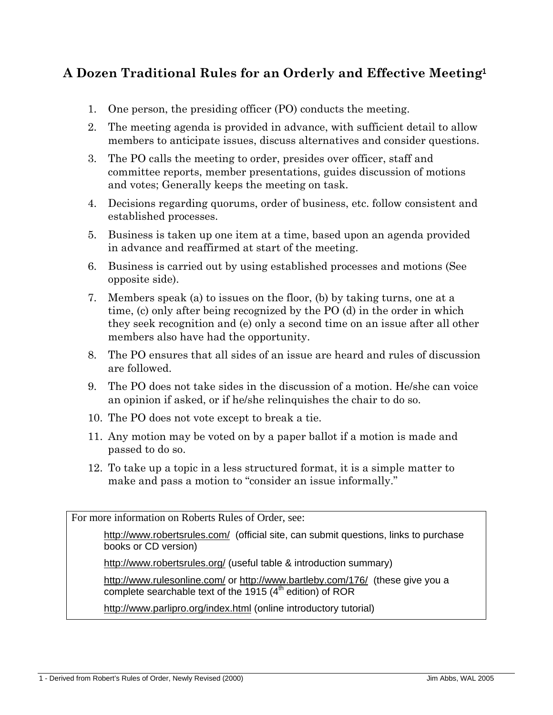## **A Dozen Traditional Rules for an Orderly and Effective Meeting<sup>1</sup>**

- 1. One person, the presiding officer (PO) conducts the meeting.
- 2. The meeting agenda is provided in advance, with sufficient detail to allow members to anticipate issues, discuss alternatives and consider questions.
- 3. The PO calls the meeting to order, presides over officer, staff and committee reports, member presentations, guides discussion of motions and votes; Generally keeps the meeting on task.
- 4. Decisions regarding quorums, order of business, etc. follow consistent and established processes.
- 5. Business is taken up one item at a time, based upon an agenda provided in advance and reaffirmed at start of the meeting.
- 6. Business is carried out by using established processes and motions (See opposite side).
- 7. Members speak (a) to issues on the floor, (b) by taking turns, one at a time, (c) only after being recognized by the PO (d) in the order in which they seek recognition and (e) only a second time on an issue after all other members also have had the opportunity.
- 8. The PO ensures that all sides of an issue are heard and rules of discussion are followed.
- 9. The PO does not take sides in the discussion of a motion. He/she can voice an opinion if asked, or if he/she relinquishes the chair to do so.
- 10. The PO does not vote except to break a tie.
- 11. Any motion may be voted on by a paper ballot if a motion is made and passed to do so.
- 12. To take up a topic in a less structured format, it is a simple matter to make and pass a motion to "consider an issue informally."

For more information on Roberts Rules of Order, see:

<http://www.robertsrules.com/>(official site, can submit questions, links to purchase books or CD version)

<http://www.robertsrules.org/>(useful table & introduction summary)

<http://www.rulesonline.com/>or <http://www.bartleby.com/176/> (these give you a complete searchable text of the 1915  $(4<sup>th</sup>$  edition) of ROR

<http://www.parlipro.org/index.html> (online introductory tutorial)